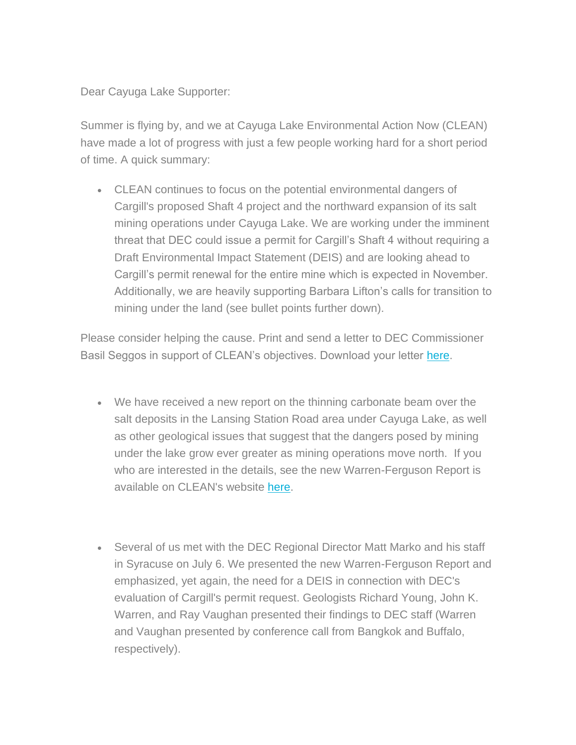Dear Cayuga Lake Supporter:

Summer is flying by, and we at Cayuga Lake Environmental Action Now (CLEAN) have made a lot of progress with just a few people working hard for a short period of time. A quick summary:

• CLEAN continues to focus on the potential environmental dangers of Cargill's proposed Shaft 4 project and the northward expansion of its salt mining operations under Cayuga Lake. We are working under the imminent threat that DEC could issue a permit for Cargill's Shaft 4 without requiring a Draft Environmental Impact Statement (DEIS) and are looking ahead to Cargill's permit renewal for the entire mine which is expected in November. Additionally, we are heavily supporting Barbara Lifton's calls for transition to mining under the land (see bullet points further down).

Please consider helping the cause. Print and send a letter to DEC Commissioner Basil Seggos in support of CLEAN's objectives. Download your letter [here.](http://www.cayugalake.org/files/all/concerned_residents_re_cargill-_seggos_aug_2017_1.pdf)

- We have received a new report on the thinning carbonate beam over the salt deposits in the Lansing Station Road area under Cayuga Lake, as well as other geological issues that suggest that the dangers posed by mining under the lake grow ever greater as mining operations move north. If you who are interested in the details, see the new Warren-Ferguson Report is available on CLEAN's website [here.](http://www.cayugalake.org/files/all/cayuga_seismic_salt_geology_lores.pdf)
- Several of us met with the DEC Regional Director Matt Marko and his staff in Syracuse on July 6. We presented the new Warren-Ferguson Report and emphasized, yet again, the need for a DEIS in connection with DEC's evaluation of Cargill's permit request. Geologists Richard Young, John K. Warren, and Ray Vaughan presented their findings to DEC staff (Warren and Vaughan presented by conference call from Bangkok and Buffalo, respectively).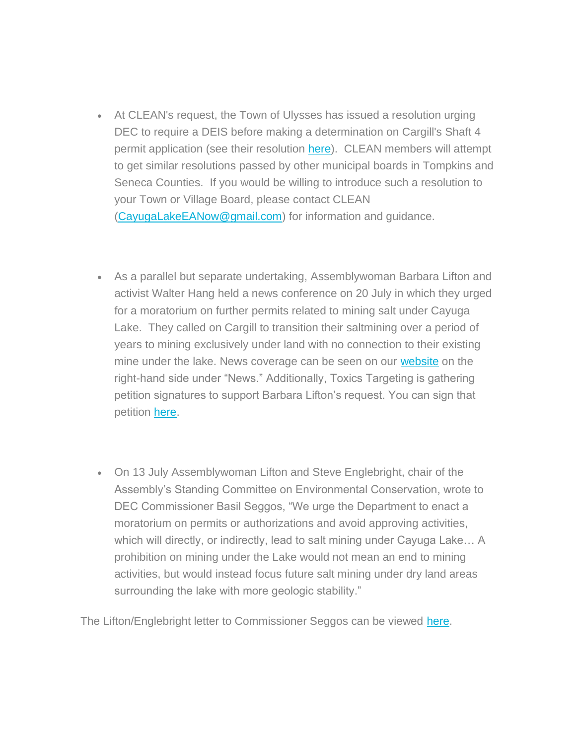- At CLEAN's request, the Town of Ulysses has issued a resolution urging DEC to require a DEIS before making a determination on Cargill's Shaft 4 permit application (see their resolution [here\)](http://www.cayugalake.org/files/all/certified_res_2017-101_reguesting_the_preparation_of_a_draft_environmental_impact_statement_cargill_1.pdf). CLEAN members will attempt to get similar resolutions passed by other municipal boards in Tompkins and Seneca Counties. If you would be willing to introduce such a resolution to your Town or Village Board, please contact CLEAN [\(CayugaLakeEANow@gmail.com\)](mailto:CayugaLakeEANow@gmail.com) for information and guidance.
- As a parallel but separate undertaking, Assemblywoman Barbara Lifton and activist Walter Hang held a news conference on 20 July in which they urged for a moratorium on further permits related to mining salt under Cayuga Lake. They called on Cargill to transition their saltmining over a period of years to mining exclusively under land with no connection to their existing mine under the lake. News coverage can be seen on our [website](http://www.cayugalake.org/content/view/CLEAN) on the right-hand side under "News." Additionally, Toxics Targeting is gathering petition signatures to support Barbara Lifton's request. You can sign that petition [here.](http://www.toxicstargeting.com/MarcellusShale/letters/2017/07/20/coal-letter-to-gov-cuomo-re-salt-mining-under-cayuga-lake)
- On 13 July Assemblywoman Lifton and Steve Englebright, chair of the Assembly's Standing Committee on Environmental Conservation, wrote to DEC Commissioner Basil Seggos, "We urge the Department to enact a moratorium on permits or authorizations and avoid approving activities, which will directly, or indirectly, lead to salt mining under Cayuga Lake… A prohibition on mining under the Lake would not mean an end to mining activities, but would instead focus future salt mining under dry land areas surrounding the lake with more geologic stability."

The Lifton/Englebright letter to Commissioner Seggos can be viewed [here.](http://www.cayugalake.org/files/all/cargill_letter.pdf)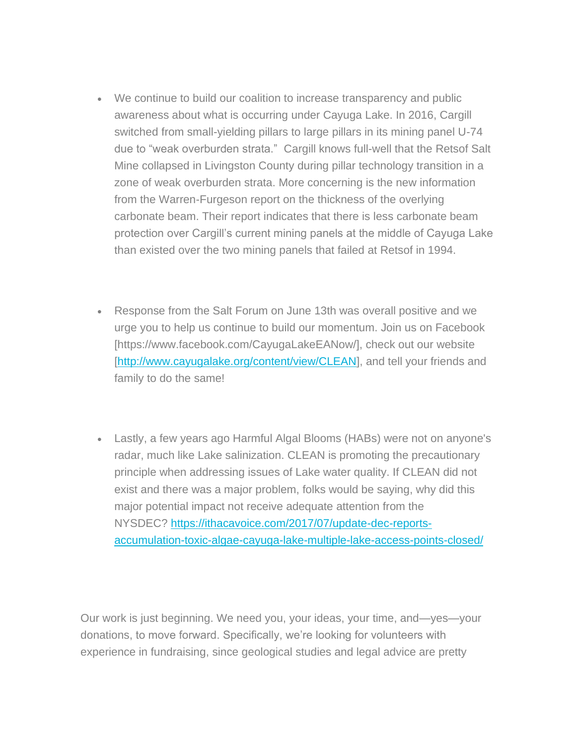- We continue to build our coalition to increase transparency and public awareness about what is occurring under Cayuga Lake. In 2016, Cargill switched from small-yielding pillars to large pillars in its mining panel U-74 due to "weak overburden strata." Cargill knows full-well that the Retsof Salt Mine collapsed in Livingston County during pillar technology transition in a zone of weak overburden strata. More concerning is the new information from the Warren-Furgeson report on the thickness of the overlying carbonate beam. Their report indicates that there is less carbonate beam protection over Cargill's current mining panels at the middle of Cayuga Lake than existed over the two mining panels that failed at Retsof in 1994.
- Response from the Salt Forum on June 13th was overall positive and we urge you to help us continue to build our momentum. Join us on Facebook [https://www.facebook.com/CayugaLakeEANow/], check out our website [\[http://www.cayugalake.org/content/view/CLEAN\]](http://www.cayugalake.org/content/view/CLEAN), and tell your friends and family to do the same!
- Lastly, a few years ago Harmful Algal Blooms (HABs) were not on anyone's radar, much like Lake salinization. CLEAN is promoting the precautionary principle when addressing issues of Lake water quality. If CLEAN did not exist and there was a major problem, folks would be saying, why did this major potential impact not receive adequate attention from the NYSDEC? [https://ithacavoice.com/2017/07/update-dec-reports](https://ithacavoice.com/2017/07/update-dec-reports-accumulation-toxic-algae-cayuga-lake-multiple-lake-access-points-closed/)[accumulation-toxic-algae-cayuga-lake-multiple-lake-access-points-closed/](https://ithacavoice.com/2017/07/update-dec-reports-accumulation-toxic-algae-cayuga-lake-multiple-lake-access-points-closed/)

Our work is just beginning. We need you, your ideas, your time, and—yes—your donations, to move forward. Specifically, we're looking for volunteers with experience in fundraising, since geological studies and legal advice are pretty